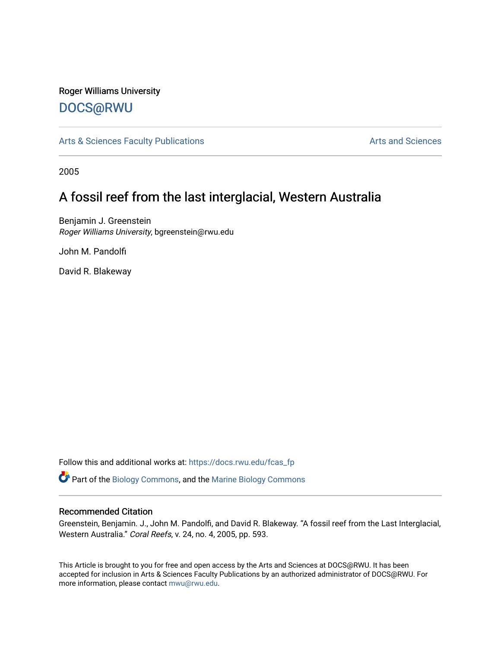# Roger Williams University

### [DOCS@RWU](https://docs.rwu.edu/)

[Arts & Sciences Faculty Publications](https://docs.rwu.edu/fcas_fp) **Arts and Sciences** Arts and Sciences

2005

## A fossil reef from the last interglacial, Western Australia

Benjamin J. Greenstein Roger Williams University, bgreenstein@rwu.edu

John M. Pandolfi

David R. Blakeway

Follow this and additional works at: [https://docs.rwu.edu/fcas\\_fp](https://docs.rwu.edu/fcas_fp?utm_source=docs.rwu.edu%2Ffcas_fp%2F329&utm_medium=PDF&utm_campaign=PDFCoverPages)

Part of the [Biology Commons,](http://network.bepress.com/hgg/discipline/41?utm_source=docs.rwu.edu%2Ffcas_fp%2F329&utm_medium=PDF&utm_campaign=PDFCoverPages) and the [Marine Biology Commons](http://network.bepress.com/hgg/discipline/1126?utm_source=docs.rwu.edu%2Ffcas_fp%2F329&utm_medium=PDF&utm_campaign=PDFCoverPages)

### Recommended Citation

Greenstein, Benjamin. J., John M. Pandolfi, and David R. Blakeway. "A fossil reef from the Last Interglacial, Western Australia." Coral Reefs, v. 24, no. 4, 2005, pp. 593.

This Article is brought to you for free and open access by the Arts and Sciences at DOCS@RWU. It has been accepted for inclusion in Arts & Sciences Faculty Publications by an authorized administrator of DOCS@RWU. For more information, please contact [mwu@rwu.edu](mailto:mwu@rwu.edu).